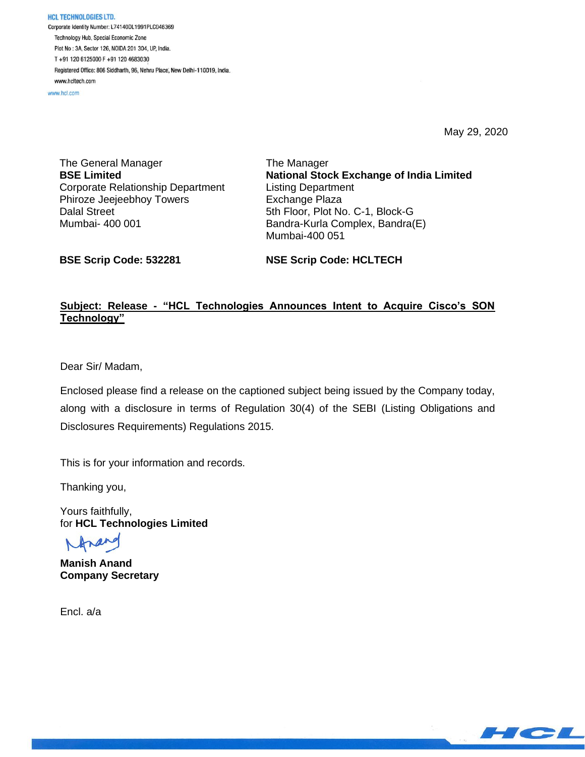**HCL TECHNOLOGIES LTD.** Corporate Identity Number: L74140DL1991PLC046369 Technology Hub, Special Economic Zone Plot No: 3A, Sector 126, NOIDA 201 304, UP, India. T+91 120 6125000 F+91 120 4683030 Registered Office: 806 Siddharth, 96, Nehru Place, New Delhi-110019, India. www.hcltech.com

www.hcl.com

May 29, 2020

The General Manager **BSE Limited** Corporate Relationship Department Phiroze Jeejeebhoy Towers Dalal Street Mumbai- 400 001

The Manager **National Stock Exchange of India Limited** Listing Department Exchange Plaza 5th Floor, Plot No. C-1, Block-G Bandra-Kurla Complex, Bandra(E) Mumbai-400 051

**BSE Scrip Code: 532281**

**NSE Scrip Code: HCLTECH**

## **Subject: Release - "HCL Technologies Announces Intent to Acquire Cisco's SON Technology"**

Dear Sir/ Madam,

Enclosed please find a release on the captioned subject being issued by the Company today, along with a disclosure in terms of Regulation 30(4) of the SEBI (Listing Obligations and Disclosures Requirements) Regulations 2015.

This is for your information and records.

Thanking you,

Yours faithfully, for **HCL Technologies Limited**

**Manish Anand Company Secretary**

Encl. a/a

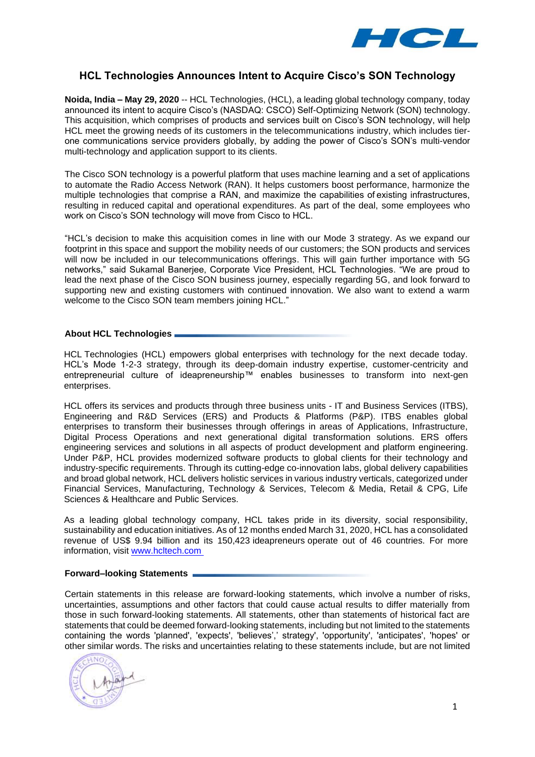

## **HCL Technologies Announces Intent to Acquire Cisco's SON Technology**

**Noida, India – May 29, 2020** -- HCL Technologies, (HCL), a leading global technology company, today announced its intent to acquire Cisco's (NASDAQ: CSCO) Self-Optimizing Network (SON) technology. This acquisition, which comprises of products and services built on Cisco's SON technology, will help HCL meet the growing needs of its customers in the telecommunications industry, which includes tierone communications service providers globally, by adding the power of Cisco's SON's multi-vendor multi-technology and application support to its clients.

The Cisco SON technology is a powerful platform that uses machine learning and a set of applications to automate the Radio Access Network (RAN). It helps customers boost performance, harmonize the multiple technologies that comprise a RAN, and maximize the capabilities of existing infrastructures, resulting in reduced capital and operational expenditures. As part of the deal, some employees who work on Cisco's SON technology will move from Cisco to HCL.

"HCL's decision to make this acquisition comes in line with our Mode 3 strategy. As we expand our footprint in this space and support the mobility needs of our customers; the SON products and services will now be included in our telecommunications offerings. This will gain further importance with 5G networks," said Sukamal Banerjee, Corporate Vice President, HCL Technologies. "We are proud to lead the next phase of the Cisco SON business journey, especially regarding 5G, and look forward to supporting new and existing customers with continued innovation. We also want to extend a warm welcome to the Cisco SON team members joining HCL."

#### **About HCL Technologies**

HCL Technologies (HCL) empowers global enterprises with technology for the next decade today. HCL's Mode 1-2-3 strategy, through its deep-domain industry expertise, customer-centricity and entrepreneurial culture of ideapreneurship™ enables businesses to transform into next-gen enterprises.

HCL offers its services and products through three business units - IT and Business Services (ITBS), Engineering and R&D Services (ERS) and Products & Platforms (P&P). ITBS enables global enterprises to transform their businesses through offerings in areas of Applications, Infrastructure, Digital Process Operations and next generational digital transformation solutions. ERS offers engineering services and solutions in all aspects of product development and platform engineering. Under P&P, HCL provides modernized software products to global clients for their technology and industry-specific requirements. Through its cutting-edge co-innovation labs, global delivery capabilities and broad global network, HCL delivers holistic services in various industry verticals, categorized under Financial Services, Manufacturing, Technology & Services, Telecom & Media, Retail & CPG, Life Sciences & Healthcare and Public Services.

As a leading global technology company, HCL takes pride in its diversity, social responsibility, sustainability and education initiatives. As of 12 months ended March 31, 2020, HCL has a consolidated revenue of US\$ 9.94 billion and its 150,423 ideapreneurs operate out of 46 countries. For more information, visit [www.hcltech.com](http://www.hcltech.com/)

### **Forward–looking Statements**

Certain statements in this release are forward-looking statements, which involve a number of risks, uncertainties, assumptions and other factors that could cause actual results to differ materially from those in such forward-looking statements. All statements, other than statements of historical fact are statements that could be deemed forward-looking statements, including but not limited to the statements containing the words 'planned', 'expects', 'believes',' strategy', 'opportunity', 'anticipates', 'hopes' or other similar words. The risks and uncertainties relating to these statements include, but are not limited

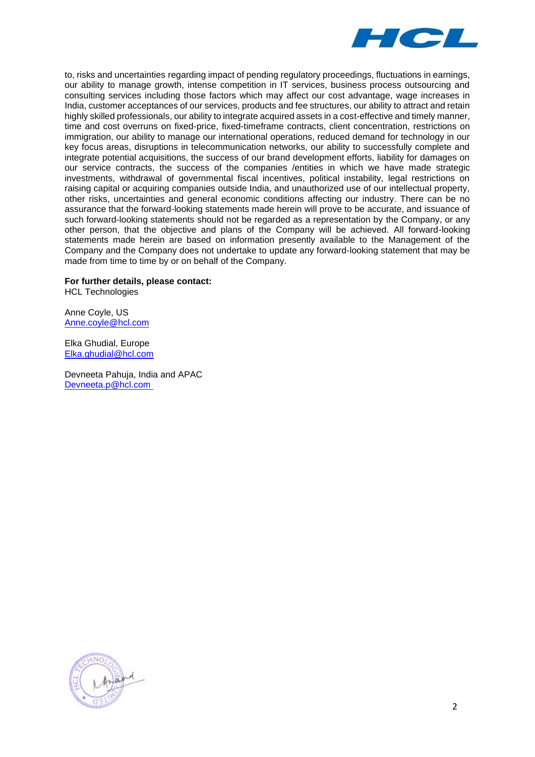

to, risks and uncertainties regarding impact of pending regulatory proceedings, fluctuations in earnings, our ability to manage growth, intense competition in IT services, business process outsourcing and consulting services including those factors which may affect our cost advantage, wage increases in India, customer acceptances of our services, products and fee structures, our ability to attract and retain highly skilled professionals, our ability to integrate acquired assets in a cost-effective and timely manner, time and cost overruns on fixed-price, fixed-timeframe contracts, client concentration, restrictions on immigration, our ability to manage our international operations, reduced demand for technology in our key focus areas, disruptions in telecommunication networks, our ability to successfully complete and integrate potential acquisitions, the success of our brand development efforts, liability for damages on our service contracts, the success of the companies /entities in which we have made strategic investments, withdrawal of governmental fiscal incentives, political instability, legal restrictions on raising capital or acquiring companies outside India, and unauthorized use of our intellectual property, other risks, uncertainties and general economic conditions affecting our industry. There can be no assurance that the forward-looking statements made herein will prove to be accurate, and issuance of such forward-looking statements should not be regarded as a representation by the Company, or any other person, that the objective and plans of the Company will be achieved. All forward-looking statements made herein are based on information presently available to the Management of the Company and the Company does not undertake to update any forward-looking statement that may be made from time to time by or on behalf of the Company.

**For further details, please contact:** HCL Technologies

Anne Coyle, US [Anne.coyle@hcl.com](mailto:Anne.coyle@hcl.com)

Elka Ghudial, Europe [Elka.ghudial@hcl.com](mailto:Elka.ghudial@hcl.com)

Devneeta Pahuja, India and APAC [Devneeta.p@hcl.com](mailto:Devneeta.p@hcl.com)

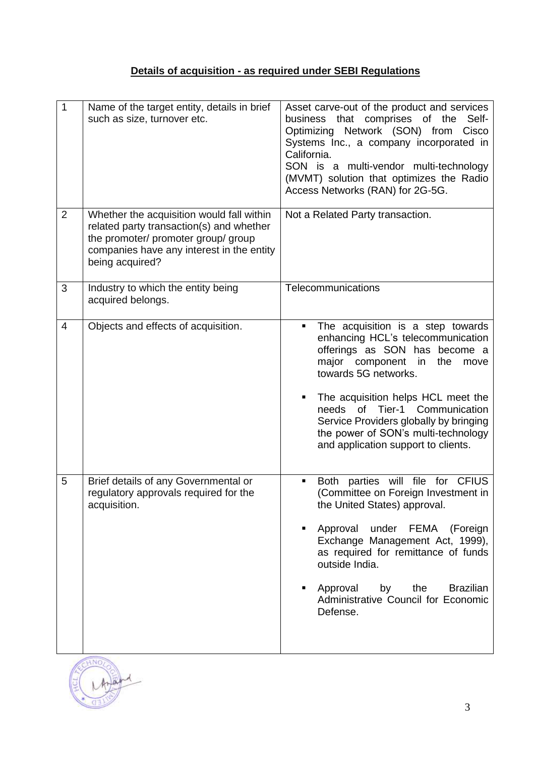# **Details of acquisition - as required under SEBI Regulations**

| $\mathbf{1}$   | Name of the target entity, details in brief<br>such as size, turnover etc.                                                                                                                   | Asset carve-out of the product and services<br>business that comprises of the<br>Self-<br>Optimizing Network (SON) from<br>Cisco<br>Systems Inc., a company incorporated in<br>California.<br>SON is a multi-vendor multi-technology<br>(MVMT) solution that optimizes the Radio<br>Access Networks (RAN) for 2G-5G.                                                           |
|----------------|----------------------------------------------------------------------------------------------------------------------------------------------------------------------------------------------|--------------------------------------------------------------------------------------------------------------------------------------------------------------------------------------------------------------------------------------------------------------------------------------------------------------------------------------------------------------------------------|
| $\overline{2}$ | Whether the acquisition would fall within<br>related party transaction(s) and whether<br>the promoter/ promoter group/ group<br>companies have any interest in the entity<br>being acquired? | Not a Related Party transaction.                                                                                                                                                                                                                                                                                                                                               |
| 3              | Industry to which the entity being<br>acquired belongs.                                                                                                                                      | Telecommunications                                                                                                                                                                                                                                                                                                                                                             |
| 4              | Objects and effects of acquisition.                                                                                                                                                          | The acquisition is a step towards<br>٠<br>enhancing HCL's telecommunication<br>offerings as SON has become a<br>major component in<br>the<br>move<br>towards 5G networks.<br>The acquisition helps HCL meet the<br>needs of<br>Tier-1<br>Communication<br>Service Providers globally by bringing<br>the power of SON's multi-technology<br>and application support to clients. |
| 5              | Brief details of any Governmental or<br>regulatory approvals required for the<br>acquisition.                                                                                                | parties will file for CFIUS<br><b>Both</b><br>٠<br>(Committee on Foreign Investment in<br>the United States) approval.<br>Approval under FEMA (Foreign<br>٠<br>Exchange Management Act, 1999),<br>as required for remittance of funds<br>outside India.<br>Approval<br>by<br>the<br><b>Brazilian</b><br>٠<br>Administrative Council for Economic<br>Defense.                   |